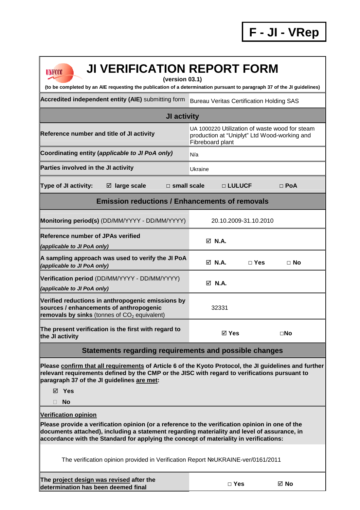**F - JI - VRep**

| <b>JI VERIFICATION REPORT FORM</b><br><b>UNFCCC</b>                                                                                                                                                                                                                                                                     |                                                                                                                    |                       |              |  |  |  |
|-------------------------------------------------------------------------------------------------------------------------------------------------------------------------------------------------------------------------------------------------------------------------------------------------------------------------|--------------------------------------------------------------------------------------------------------------------|-----------------------|--------------|--|--|--|
| (version 03.1)<br>(to be completed by an AIE requesting the publication of a determination pursuant to paragraph 37 of the JI guidelines)                                                                                                                                                                               |                                                                                                                    |                       |              |  |  |  |
| Accredited independent entity (AIE) submitting form                                                                                                                                                                                                                                                                     | <b>Bureau Veritas Certification Holding SAS</b>                                                                    |                       |              |  |  |  |
| <b>JI activity</b>                                                                                                                                                                                                                                                                                                      |                                                                                                                    |                       |              |  |  |  |
| Reference number and title of JI activity                                                                                                                                                                                                                                                                               | UA 1000220 Utilization of waste wood for steam<br>production at "Uniplyt" Ltd Wood-working and<br>Fibreboard plant |                       |              |  |  |  |
| Coordinating entity (applicable to JI PoA only)                                                                                                                                                                                                                                                                         | N/a                                                                                                                |                       |              |  |  |  |
| Parties involved in the JI activity                                                                                                                                                                                                                                                                                     | Ukraine                                                                                                            |                       |              |  |  |  |
| Type of JI activity:<br>$\Box$ small scale<br>$\boxtimes$ large scale                                                                                                                                                                                                                                                   |                                                                                                                    | □ LULUCF              | $\Box$ PoA   |  |  |  |
| <b>Emission reductions / Enhancements of removals</b>                                                                                                                                                                                                                                                                   |                                                                                                                    |                       |              |  |  |  |
| Monitoring period(s) (DD/MM/YYYY - DD/MM/YYYY)                                                                                                                                                                                                                                                                          |                                                                                                                    | 20.10.2009-31.10.2010 |              |  |  |  |
| <b>Reference number of JPAs verified</b><br>(applicable to JI PoA only)                                                                                                                                                                                                                                                 | $\boxdot$ N.A.                                                                                                     |                       |              |  |  |  |
| A sampling approach was used to verify the JI PoA<br>(applicable to JI PoA only)                                                                                                                                                                                                                                        | $\boxtimes$ N.A.                                                                                                   | $\Box$ Yes            | $\Box$ No    |  |  |  |
| Verification period (DD/MM/YYYY - DD/MM/YYYY)<br>(applicable to JI PoA only)                                                                                                                                                                                                                                            | M N.A.                                                                                                             |                       |              |  |  |  |
| Verified reductions in anthropogenic emissions by<br>sources / enhancements of anthropogenic<br>removals by sinks (tonnes of $CO2$ equivalent)                                                                                                                                                                          | 32331                                                                                                              |                       |              |  |  |  |
| The present verification is the first with regard to<br>the JI activity                                                                                                                                                                                                                                                 | $\boxtimes$ Yes                                                                                                    |                       | $\square$ No |  |  |  |
| Statements regarding requirements and possible changes                                                                                                                                                                                                                                                                  |                                                                                                                    |                       |              |  |  |  |
| Please confirm that all requirements of Article 6 of the Kyoto Protocol, the JI guidelines and further<br>relevant requirements defined by the CMP or the JISC with regard to verifications pursuant to<br>paragraph 37 of the JI guidelines are met:<br>⊠ Yes                                                          |                                                                                                                    |                       |              |  |  |  |
| <b>No</b><br>П                                                                                                                                                                                                                                                                                                          |                                                                                                                    |                       |              |  |  |  |
| <b>Verification opinion</b><br>Please provide a verification opinion (or a reference to the verification opinion in one of the<br>documents attached), including a statement regarding materiality and level of assurance, in<br>accordance with the Standard for applying the concept of materiality in verifications: |                                                                                                                    |                       |              |  |  |  |
| The verification opinion provided in Verification Report NºUKRAINE-ver/0161/2011                                                                                                                                                                                                                                        |                                                                                                                    |                       |              |  |  |  |
| The project design was revised after the<br>determination has been deemed final                                                                                                                                                                                                                                         |                                                                                                                    | $\Box$ Yes            | ⊠ No         |  |  |  |